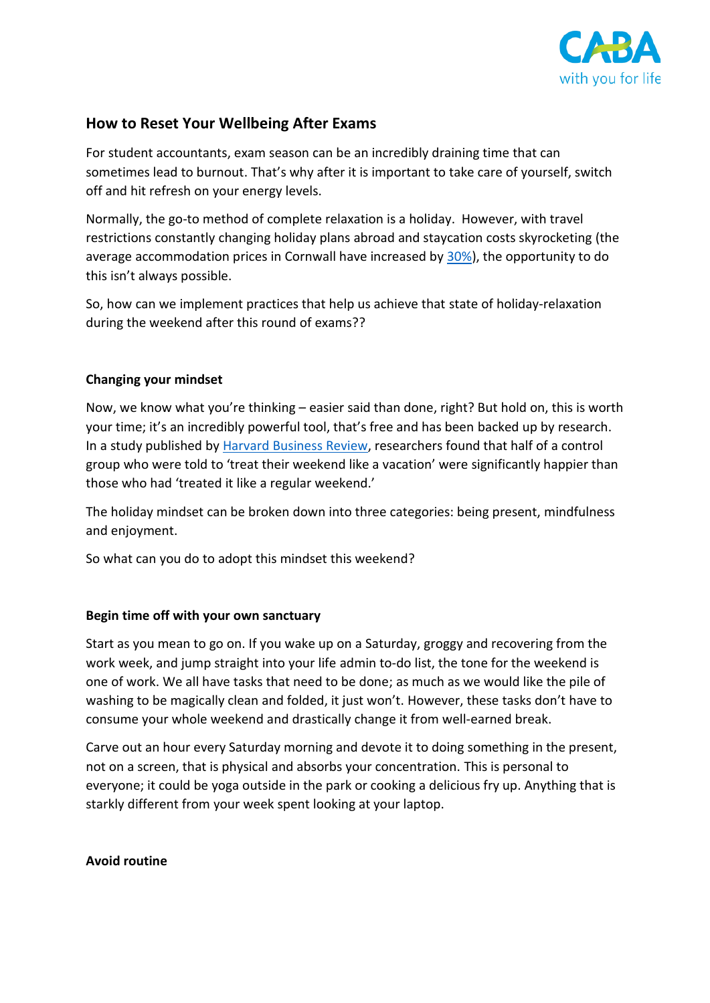

# **How to Reset Your Wellbeing After Exams**

For student accountants, exam season can be an incredibly draining time that can sometimes lead to burnout. That's why after it is important to take care of yourself, switch off and hit refresh on your energy levels.

Normally, the go-to method of complete relaxation is a holiday. However, with travel restrictions constantly changing holiday plans abroad and staycation costs skyrocketing (the average accommodation prices in Cornwall have increased by [30%\)](https://www.theguardian.com/business/2021/jun/19/prices-are-ridiculous-uk-holiday-costs-more-than-europe-as-demand-grows), the opportunity to do this isn't always possible.

So, how can we implement practices that help us achieve that state of holiday-relaxation during the weekend after this round of exams??

### **Changing your mindset**

Now, we know what you're thinking – easier said than done, right? But hold on, this is worth your time; it's an incredibly powerful tool, that's free and has been backed up by research. In a study published by [Harvard Business Review,](https://hbr.org/2019/01/treat-your-weekend-like-a-vacation) researchers found that half of a control group who were told to 'treat their weekend like a vacation' were significantly happier than those who had 'treated it like a regular weekend.'

The holiday mindset can be broken down into three categories: being present, mindfulness and enjoyment.

So what can you do to adopt this mindset this weekend?

#### **Begin time off with your own sanctuary**

Start as you mean to go on. If you wake up on a Saturday, groggy and recovering from the work week, and jump straight into your life admin to-do list, the tone for the weekend is one of work. We all have tasks that need to be done; as much as we would like the pile of washing to be magically clean and folded, it just won't. However, these tasks don't have to consume your whole weekend and drastically change it from well-earned break.

Carve out an hour every Saturday morning and devote it to doing something in the present, not on a screen, that is physical and absorbs your concentration. This is personal to everyone; it could be yoga outside in the park or cooking a delicious fry up. Anything that is starkly different from your week spent looking at your laptop.

#### **Avoid routine**